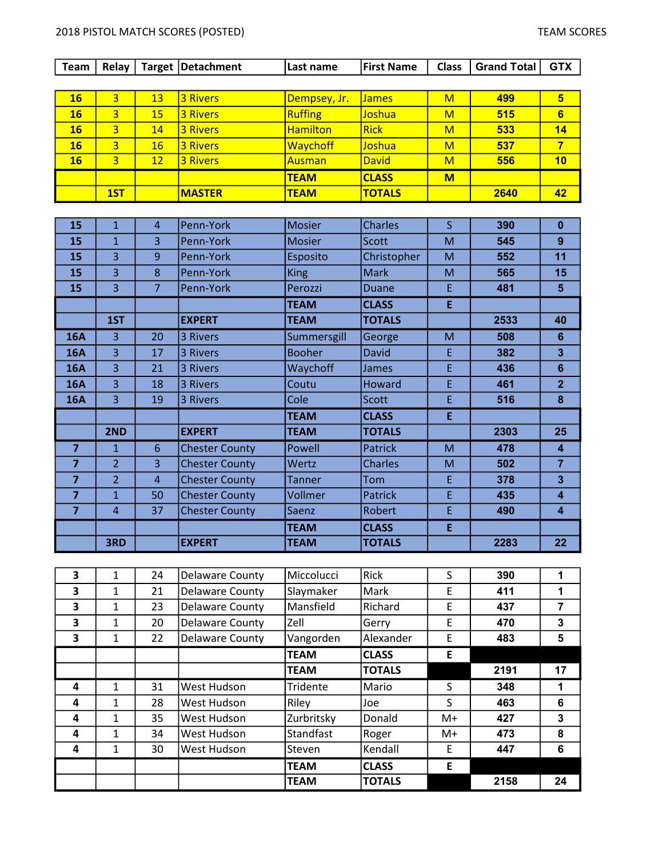## 2018 PISTOL MATCH SCORES (POSTED) TEAM SCORES

| <b>Team</b>             | Relay          |                | Target   Detachment   | Last name       | <b>First Name</b> | <b>Class</b>            | <b>Grand Total</b> | <b>GTX</b>              |
|-------------------------|----------------|----------------|-----------------------|-----------------|-------------------|-------------------------|--------------------|-------------------------|
|                         |                |                |                       |                 |                   |                         |                    |                         |
| 16                      | $\overline{3}$ | 13             | <b>3 Rivers</b>       | Dempsey, Jr.    | <b>James</b>      | $\overline{\mathsf{M}}$ | 499                | $5\overline{)}$         |
| 16                      | $\overline{3}$ | 15             | <b>3 Rivers</b>       | <b>Ruffing</b>  | Joshua            | M                       | 515                | $6\overline{6}$         |
| 16                      | $\overline{3}$ | 14             | <b>3 Rivers</b>       | <b>Hamilton</b> | <b>Rick</b>       | M                       | 533                | 14                      |
| <b>16</b>               | $\overline{3}$ | 16             | <b>3 Rivers</b>       | <b>Waychoff</b> | Joshua            | M                       | 537                | $\overline{7}$          |
| 16                      | $\overline{3}$ | 12             | <b>3 Rivers</b>       | Ausman          | <b>David</b>      | $\overline{M}$          | 556                | 10                      |
|                         |                |                |                       | <b>TEAM</b>     | <b>CLASS</b>      | M                       |                    |                         |
|                         | 1ST            |                | <b>MASTER</b>         | <b>TEAM</b>     | <b>TOTALS</b>     |                         | 2640               | 42                      |
|                         |                |                |                       |                 |                   |                         |                    |                         |
| 15                      | $\mathbf{1}$   | $\overline{4}$ | Penn-York             | <b>Mosier</b>   | <b>Charles</b>    | $\mathsf{S}$            | 390                | $\mathbf 0$             |
| 15                      | $\mathbf{1}$   | 3              | Penn-York             | <b>Mosier</b>   | <b>Scott</b>      | M                       | 545                | 9                       |
| 15                      | 3              | 9              | Penn-York             | Esposito        | Christopher       | M                       | 552                | 11                      |
| 15                      | 3              | 8              | Penn-York             | <b>King</b>     | <b>Mark</b>       | M                       | 565                | 15                      |
| 15                      | $\overline{3}$ | 7              | Penn-York             | Perozzi         | Duane             | E                       | 481                | $5\phantom{1}$          |
|                         |                |                |                       | <b>TEAM</b>     | <b>CLASS</b>      | E                       |                    |                         |
|                         | 1ST            |                | <b>EXPERT</b>         | <b>TEAM</b>     | <b>TOTALS</b>     |                         | 2533               | 40                      |
| <b>16A</b>              | $\overline{3}$ | 20             | 3 Rivers              | Summersgill     | George            | M                       | 508                | $6\phantom{a}$          |
| <b>16A</b>              | $\overline{3}$ | 17             | 3 Rivers              | <b>Booher</b>   | <b>David</b>      | E                       | 382                | $\overline{\mathbf{3}}$ |
| <b>16A</b>              | 3              | 21             | 3 Rivers              | Waychoff        | James             | E                       | 436                | $6\phantom{a}$          |
| <b>16A</b>              | 3              | 18             | 3 Rivers              | Coutu           | Howard            | E                       | 461                | $\overline{2}$          |
| <b>16A</b>              | 3              | 19             | 3 Rivers              | Cole            | <b>Scott</b>      | E                       | 516                | $\bf{8}$                |
|                         |                |                |                       | <b>TEAM</b>     | <b>CLASS</b>      | E                       |                    |                         |
|                         | 2ND            |                | <b>EXPERT</b>         | <b>TEAM</b>     | <b>TOTALS</b>     |                         | 2303               | 25                      |
| $\overline{7}$          | $\mathbf{1}$   | 6              | <b>Chester County</b> | Powell          | <b>Patrick</b>    | M                       | 478                | $\overline{\mathbf{4}}$ |
| $\overline{\mathbf{z}}$ | $\overline{2}$ | 3              | <b>Chester County</b> | Wertz           | <b>Charles</b>    | M                       | 502                | $\overline{7}$          |
| $\overline{7}$          | $\overline{2}$ | $\overline{4}$ | <b>Chester County</b> | <b>Tanner</b>   | Tom               | E                       | 378                | $\overline{\mathbf{3}}$ |
| 7                       | $\mathbf{1}$   | 50             | <b>Chester County</b> | Vollmer         | <b>Patrick</b>    | E                       | 435                | 4                       |
| $\overline{7}$          | $\overline{4}$ | 37             | <b>Chester County</b> | Saenz           | Robert            | E                       | 490                | $\overline{\mathbf{4}}$ |
|                         |                |                |                       | <b>TEAM</b>     | <b>CLASS</b>      | E                       |                    |                         |
|                         | 3RD            |                | <b>EXPERT</b>         | <b>TEAM</b>     | <b>TOTALS</b>     |                         | 2283               | 22                      |
|                         |                |                |                       |                 |                   |                         |                    |                         |
| 3                       | $\mathbf{1}$   | 24             | Delaware County       | Miccolucci      | Rick              | S                       | 390                | 1                       |
| 3                       | $\mathbf{1}$   | 21             | Delaware County       | Slaymaker       | Mark              | E                       | 411                | 1                       |
| 3                       | $\mathbf{1}$   | 23             | Delaware County       | Mansfield       | Richard           | E                       | 437                | $\overline{7}$          |
| 3                       | $\mathbf{1}$   | 20             | Delaware County       | Zell            | Gerry             | E                       | 470                | 3                       |
| $\overline{\mathbf{3}}$ | $\mathbf{1}$   | 22             | Delaware County       | Vangorden       | Alexander         | E                       | 483                | 5                       |
|                         |                |                |                       | <b>TEAM</b>     | <b>CLASS</b>      | E                       |                    |                         |

4 | 1 | 31 | West Hudson | Tridente | Mario | S | 348 | 1 4 | 1 | 28 | West Hudson | Riley | Joe | S | 463 | 6 4 | 1 | 35 | West Hudson | Zurbritsky | Donald | M+ | 427 | 3 4 | 1 | 34 | West Hudson | Standfast | Roger | M+ | 473 | 8 4 | 1 | 30 | West Hudson | Steven | Kendall | E | 447 | 6

TEAM CLASS F

TEAM TOTALS 2191 17

TEAM TOTALS 2158 24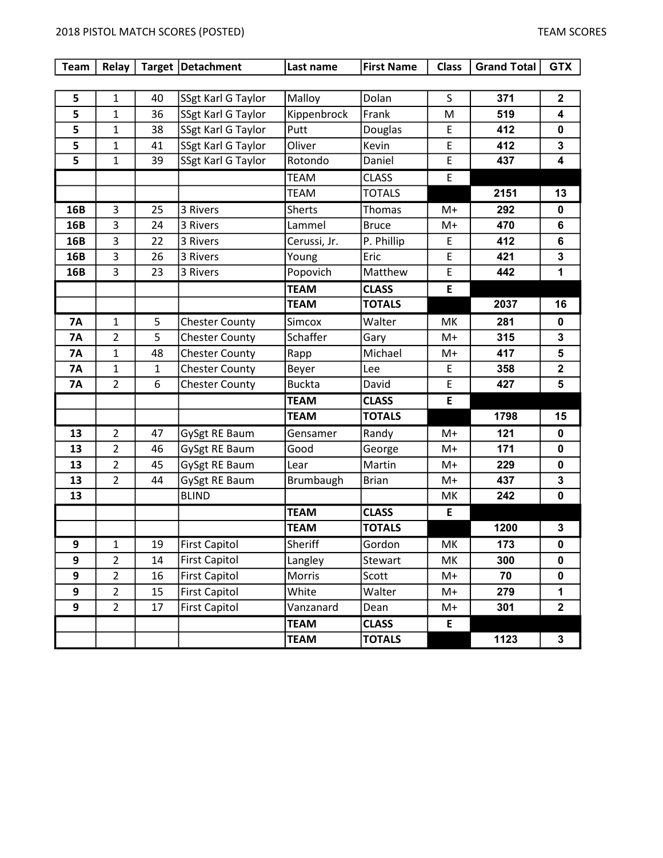## 2018 PISTOL MATCH SCORES (POSTED) TEAM SCORES

| <b>Team</b> | Relay          |    | Target   Detachment   | Last name     | <b>First Name</b> | <b>Class</b> | <b>Grand Total</b> | <b>GTX</b>   |
|-------------|----------------|----|-----------------------|---------------|-------------------|--------------|--------------------|--------------|
|             |                |    |                       |               |                   |              |                    |              |
| 5           | $\mathbf{1}$   | 40 | SSgt Karl G Taylor    | Malloy        | Dolan             | S.           | 371                | $\mathbf{2}$ |
| 5           | 1              | 36 | SSgt Karl G Taylor    | Kippenbrock   | Frank             | M            | 519                | 4            |
| 5           | $\mathbf{1}$   | 38 | SSgt Karl G Taylor    | Putt          | Douglas           | E            | 412                | $\mathbf 0$  |
| 5           | $\mathbf{1}$   | 41 | SSgt Karl G Taylor    | Oliver        | Kevin             | E            | 412                | 3            |
| 5           | $\mathbf{1}$   | 39 | SSgt Karl G Taylor    | Rotondo       | Daniel            | E            | 437                | 4            |
|             |                |    |                       | <b>TEAM</b>   | <b>CLASS</b>      | E            |                    |              |
|             |                |    |                       | <b>TEAM</b>   | <b>TOTALS</b>     |              | 2151               | 13           |
| 16B         | 3              | 25 | 3 Rivers              | <b>Sherts</b> | Thomas            | M+           | 292                | 0            |
| 16B         | 3              | 24 | 3 Rivers              | Lammel        | <b>Bruce</b>      | M+           | 470                | 6            |
| 16B         | 3              | 22 | 3 Rivers              | Cerussi, Jr.  | P. Phillip        | E.           | 412                | 6            |
| 16B         | 3              | 26 | 3 Rivers              | Young         | Eric              | E            | 421                | 3            |
| 16B         | 3              | 23 | 3 Rivers              | Popovich      | Matthew           | E            | 442                | 1            |
|             |                |    |                       | <b>TEAM</b>   | <b>CLASS</b>      | E            |                    |              |
|             |                |    |                       | <b>TEAM</b>   | <b>TOTALS</b>     |              | 2037               | 16           |
| <b>7A</b>   | $\mathbf{1}$   | 5  | <b>Chester County</b> | Simcox        | Walter            | МK           | 281                | 0            |
| <b>7A</b>   | $\overline{2}$ | 5  | <b>Chester County</b> | Schaffer      | Gary              | $M+$         | 315                | 3            |
| <b>7A</b>   | $\mathbf{1}$   | 48 | <b>Chester County</b> | Rapp          | Michael           | M+           | 417                | 5            |
| <b>7A</b>   | $\mathbf{1}$   | 1  | <b>Chester County</b> | Beyer         | Lee               | E            | 358                | $\mathbf 2$  |
| <b>7A</b>   | $\overline{2}$ | 6  | <b>Chester County</b> | <b>Buckta</b> | David             | E            | 427                | 5            |
|             |                |    |                       | <b>TEAM</b>   | <b>CLASS</b>      | E            |                    |              |
|             |                |    |                       | <b>TEAM</b>   | <b>TOTALS</b>     |              | 1798               | 15           |
| 13          | $\overline{2}$ | 47 | GySgt RE Baum         | Gensamer      | Randy             | $M+$         | 121                | 0            |
| 13          | $\overline{2}$ | 46 | GySgt RE Baum         | Good          | George            | $M+$         | 171                | 0            |
| 13          | $\overline{2}$ | 45 | GySgt RE Baum         | Lear          | Martin            | $M+$         | 229                | 0            |
| 13          | $\overline{2}$ | 44 | GySgt RE Baum         | Brumbaugh     | <b>Brian</b>      | M+           | 437                | 3            |
| 13          |                |    | <b>BLIND</b>          |               |                   | МK           | 242                | $\mathbf 0$  |
|             |                |    |                       | <b>TEAM</b>   | <b>CLASS</b>      | E            |                    |              |
|             |                |    |                       | <b>TEAM</b>   | <b>TOTALS</b>     |              | 1200               | 3            |
| 9           | 1              | 19 | <b>First Capitol</b>  | Sheriff       | Gordon            | МK           | 173                | 0            |
| 9           | $\overline{2}$ | 14 | <b>First Capitol</b>  | Langley       | Stewart           | MK           | 300                | 0            |
| 9           | $\overline{2}$ | 16 | <b>First Capitol</b>  | Morris        | Scott             | M+           | 70                 | 0            |
| 9           | $\overline{2}$ | 15 | <b>First Capitol</b>  | White         | Walter            | M+           | 279                | 1            |
| 9           | $\overline{2}$ | 17 | <b>First Capitol</b>  | Vanzanard     | Dean              | M+           | 301                | $\mathbf 2$  |
|             |                |    |                       | <b>TEAM</b>   | <b>CLASS</b>      | E            |                    |              |
|             |                |    |                       | <b>TEAM</b>   | <b>TOTALS</b>     |              | 1123               | $\mathbf 3$  |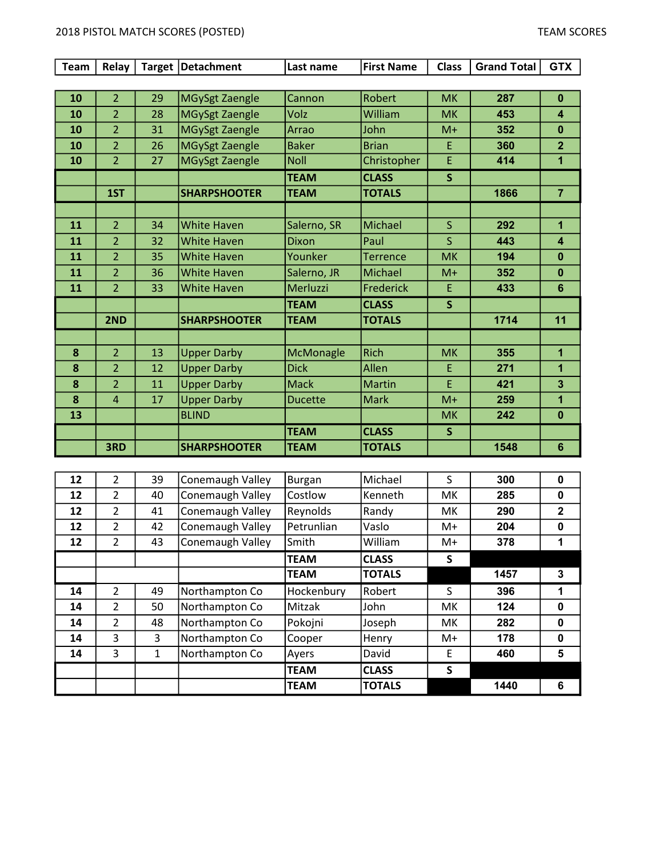| <b>Team</b> | Relay          |    | Target   Detachment   | Last name      | <b>First Name</b> | <b>Class</b> | <b>Grand Total</b> | <b>GTX</b>              |
|-------------|----------------|----|-----------------------|----------------|-------------------|--------------|--------------------|-------------------------|
|             |                |    |                       |                |                   |              |                    |                         |
| 10          | $\overline{2}$ | 29 | MGySgt Zaengle        | Cannon         | Robert            | <b>MK</b>    | 287                | $\mathbf{0}$            |
| 10          | $\overline{2}$ | 28 | MGySgt Zaengle        | Volz           | William           | <b>MK</b>    | 453                | $\overline{\mathbf{4}}$ |
| 10          | $\overline{2}$ | 31 | <b>MGySgt Zaengle</b> | Arrao          | John              | $M+$         | 352                | $\mathbf{0}$            |
| 10          | $\overline{2}$ | 26 | <b>MGySgt Zaengle</b> | <b>Baker</b>   | <b>Brian</b>      | E            | 360                | $\overline{2}$          |
| 10          | $\overline{2}$ | 27 | MGySgt Zaengle        | <b>Noll</b>    | Christopher       | E            | 414                | $\mathbf{1}$            |
|             |                |    |                       | <b>TEAM</b>    | <b>CLASS</b>      | $\mathsf{s}$ |                    |                         |
|             | 1ST            |    | <b>SHARPSHOOTER</b>   | <b>TEAM</b>    | <b>TOTALS</b>     |              | 1866               | $\overline{7}$          |
|             |                |    |                       |                |                   |              |                    |                         |
| 11          | $\overline{2}$ | 34 | <b>White Haven</b>    | Salerno, SR    | Michael           | $\mathsf{S}$ | 292                | 1                       |
| 11          | $\overline{2}$ | 32 | <b>White Haven</b>    | Dixon          | Paul              | S            | 443                | $\overline{\mathbf{4}}$ |
| 11          | $\overline{2}$ | 35 | <b>White Haven</b>    | Younker        | <b>Terrence</b>   | <b>MK</b>    | 194                | $\bf{0}$                |
| 11          | $\overline{2}$ | 36 | <b>White Haven</b>    | Salerno, JR    | Michael           | $M+$         | 352                | $\mathbf 0$             |
| 11          | $\overline{2}$ | 33 | <b>White Haven</b>    | Merluzzi       | Frederick         | E            | 433                | 6                       |
|             |                |    |                       | <b>TEAM</b>    | <b>CLASS</b>      | $\mathsf{S}$ |                    |                         |
|             | 2ND            |    | <b>SHARPSHOOTER</b>   | <b>TEAM</b>    | <b>TOTALS</b>     |              | 1714               | 11                      |
|             |                |    |                       |                |                   |              |                    |                         |
| 8           | $\overline{2}$ | 13 | <b>Upper Darby</b>    | McMonagle      | <b>Rich</b>       | <b>MK</b>    | 355                | $\mathbf{1}$            |
| 8           | $\overline{2}$ | 12 | <b>Upper Darby</b>    | <b>Dick</b>    | Allen             | E            | 271                | 1                       |
| 8           | $\overline{2}$ | 11 | <b>Upper Darby</b>    | <b>Mack</b>    | <b>Martin</b>     | F            | 421                | $\overline{3}$          |
| 8           | $\overline{4}$ | 17 | <b>Upper Darby</b>    | <b>Ducette</b> | <b>Mark</b>       | $M+$         | 259                | 1                       |
| 13          |                |    | <b>BLIND</b>          |                |                   | <b>MK</b>    | 242                | $\bf{0}$                |
|             |                |    |                       | <b>TEAM</b>    | <b>CLASS</b>      | S            |                    |                         |
|             | 3RD            |    | <b>SHARPSHOOTER</b>   | <b>TEAM</b>    | <b>TOTALS</b>     |              | 1548               | $6\phantom{1}$          |

| 12 | 2              | 39 | Conemaugh Valley | <b>Burgan</b>  | Michael       | S    | 300  | $\mathbf 0$  |
|----|----------------|----|------------------|----------------|---------------|------|------|--------------|
| 12 | 2              | 40 | Conemaugh Valley | <b>Costlow</b> | Kenneth       | МK   | 285  | 0            |
| 12 | $\overline{2}$ | 41 | Conemaugh Valley | Reynolds       | Randy         | МK   | 290  | $\mathbf{2}$ |
| 12 | $\mathcal{P}$  | 42 | Conemaugh Valley | Petrunlian     | Vaslo         | $M+$ | 204  | 0            |
| 12 | $\overline{2}$ | 43 | Conemaugh Valley | Smith          | William       | M+   | 378  |              |
|    |                |    |                  | <b>TEAM</b>    | <b>CLASS</b>  | S    |      |              |
|    |                |    |                  | <b>TEAM</b>    | <b>TOTALS</b> |      | 1457 | 3            |
|    |                |    |                  |                |               |      |      |              |
| 14 | $\mathcal{P}$  | 49 | Northampton Co   | Hockenbury     | Robert        | S    | 396  |              |
| 14 | 2              | 50 | Northampton Co   | <b>Mitzak</b>  | John          | МK   | 124  | 0            |
| 14 | $\overline{2}$ | 48 | Northampton Co   | Pokojni        | Joseph        | МK   | 282  | 0            |
| 14 | 3              | 3  | Northampton Co   | Cooper         | Henry         | $M+$ | 178  | 0            |
| 14 | 3              | 1  | Northampton Co   | Ayers          | David         | E    | 460  | 5            |
|    |                |    |                  | <b>TEAM</b>    | <b>CLASS</b>  | S    |      |              |